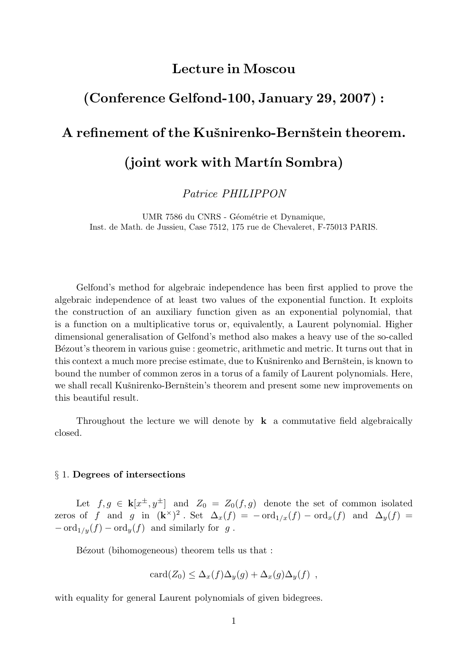### Lecture in Moscou

# (Conference Gelfond-100, January 29, 2007) :

# A refinement of the Kušnirenko-Bernštein theorem.

# (joint work with Martín Sombra)

Patrice PHILIPPON

UMR 7586 du CNRS - Géométrie et Dynamique, Inst. de Math. de Jussieu, Case 7512, 175 rue de Chevaleret, F-75013 PARIS.

Gelfond's method for algebraic independence has been first applied to prove the algebraic independence of at least two values of the exponential function. It exploits the construction of an auxiliary function given as an exponential polynomial, that is a function on a multiplicative torus or, equivalently, a Laurent polynomial. Higher dimensional generalisation of Gelfond's method also makes a heavy use of the so-called Bézout's theorem in various guise : geometric, arithmetic and metric. It turns out that in this context a much more precise estimate, due to Kušnirenko and Bernštein, is known to bound the number of common zeros in a torus of a family of Laurent polynomials. Here, we shall recall Kušnirenko-Bernštein's theorem and present some new improvements on this beautiful result.

Throughout the lecture we will denote by  $k$  a commutative field algebraically closed.

#### § 1. Degrees of intersections

Let  $f, g \in \mathbf{k}[x^{\pm}, y^{\pm}]$  and  $Z_0 = Z_0(f, g)$  denote the set of common isolated zeros of f and g in  $(\mathbf{k}^{\times})^2$ . Set  $\Delta_x(f) = -\text{ord}_{1/x}(f) - \text{ord}_x(f)$  and  $\Delta_y(f) =$  $-\operatorname{ord}_{1/y}(f) - \operatorname{ord}_y(f)$  and similarly for g.

Bézout (bihomogeneous) theorem tells us that :

$$
card(Z_0) \leq \Delta_x(f)\Delta_y(g) + \Delta_x(g)\Delta_y(f) ,
$$

with equality for general Laurent polynomials of given bidegrees.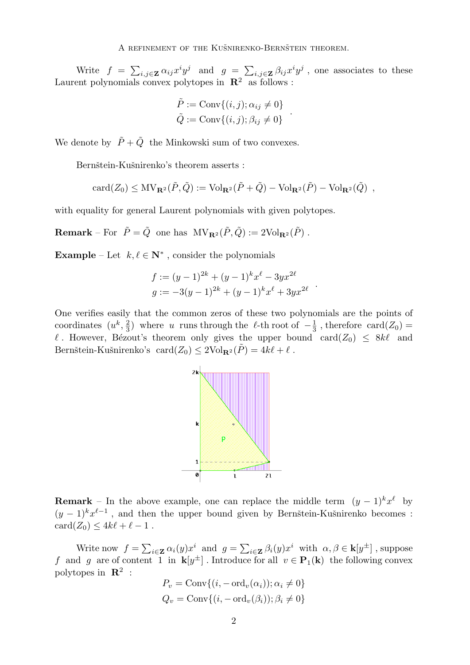A REFINEMENT OF THE KUŠNIRENKO-BERNŠTEIN THEOREM.

Write  $f = \sum_{i,j \in \mathbf{Z}} \alpha_{ij} x^i y^j$  and  $g = \sum_{i,j \in \mathbf{Z}} \beta_{ij} x^i y^j$ , one associates to these Laurent polynomials convex polytopes in  $\mathbb{R}^2$  as follows :

$$
\tilde{P} := \text{Conv}\{(i, j); \alpha_{ij} \neq 0\}
$$

$$
\tilde{Q} := \text{Conv}\{(i, j); \beta_{ij} \neq 0\}
$$

.

We denote by  $\tilde{P} + \tilde{Q}$  the Minkowski sum of two convexes.

Bernštein-Kušnirenko's theorem asserts :

$$
card(Z_0) \leq MV_{\mathbf{R}^2}(\tilde{P},\tilde{Q}) := Vol_{\mathbf{R}^2}(\tilde{P} + \tilde{Q}) - Vol_{\mathbf{R}^2}(\tilde{P}) - Vol_{\mathbf{R}^2}(\tilde{Q}) ,
$$

with equality for general Laurent polynomials with given polytopes.

**Remark** – For  $\tilde{P} = \tilde{Q}$  one has  $MV_{\mathbf{R}^2}(\tilde{P}, \tilde{Q}) := 2Vol_{\mathbf{R}^2}(\tilde{P})$ .

**Example** – Let  $k, \ell \in \mathbb{N}^*$ , consider the polynomials

$$
f := (y-1)^{2k} + (y-1)^k x^{\ell} - 3yx^{2\ell}
$$
  

$$
g := -3(y-1)^{2k} + (y-1)^k x^{\ell} + 3yx^{2\ell}
$$

One verifies easily that the common zeros of these two polynomials are the points of coordinates  $(u^k, \frac{2}{3})$  $\frac{2}{3}$ ) where u runs through the  $\ell$ -th root of  $-\frac{1}{3}$  $\frac{1}{3}$ , therefore card $(Z_0)$  =  $\ell$ . However, Bézout's theorem only gives the upper bound card( $Z_0$ )  $\leq 8k\ell$  and Bernštein-Kušnirenko's card $(Z_0) \leq 2 \text{Vol}_{\mathbf{R}^2}(\tilde{P}) = 4k\ell + \ell$ .



**Remark** – In the above example, one can replace the middle term  $(y-1)^k x^{\ell}$  by  $(y-1)^k x^{\ell-1}$ , and then the upper bound given by Bernštein-Kušnirenko becomes :  $card(Z_0) \leq 4k\ell + \ell - 1$ .

Write now  $f = \sum_{i \in \mathbf{Z}} \alpha_i(y) x^i$  and  $g = \sum_{i \in \mathbf{Z}} \beta_i(y) x^i$  with  $\alpha, \beta \in \mathbf{k}[y^{\pm}]$ , suppose f and g are of content 1 in  $\mathbf{k}[y^{\pm}]$ . Introduce for all  $v \in \mathbf{P}_1(\mathbf{k})$  the following convex polytopes in  $\mathbb{R}^2$ :

$$
P_v = \text{Conv}\{(i, -\text{ord}_v(\alpha_i)); \alpha_i \neq 0\}
$$
  

$$
Q_v = \text{Conv}\{(i, -\text{ord}_v(\beta_i)); \beta_i \neq 0\}
$$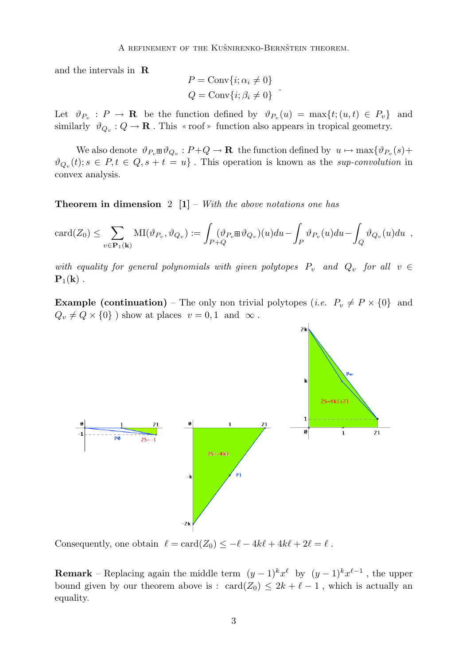and the intervals in R

$$
P = \text{Conv}\{i; \alpha_i \neq 0\}
$$
  

$$
Q = \text{Conv}\{i; \beta_i \neq 0\}
$$

.

Let  $\vartheta_{P_v}: P \to \mathbf{R}$  be the function defined by  $\vartheta_{P_v}(u) = \max\{t; (u, t) \in P_v\}$  and similarly  $\vartheta_{Q_v}: Q \to \mathbf{R}$ . This  $\ast$  roof  $\ast$  function also appears in tropical geometry.

We also denote  $\vartheta_{P_v} \boxplus \vartheta_{Q_v} : P + Q \to \mathbf{R}$  the function defined by  $u \mapsto \max \{ \vartheta_{P_v}(s) +$  $\vartheta_{Q_v}(t); s \in P, t \in Q, s+t=u$ . This operation is known as the sup-convolution in convex analysis.

**Theorem in dimension** 2  $[1]$  – With the above notations one has

$$
card(Z_0) \leq \sum_{v \in \mathbf{P}_1(\mathbf{k})} MI(\vartheta_{P_v}, \vartheta_{Q_v}) := \int_{P+Q} (\vartheta_{P_v} \boxplus \vartheta_{Q_v})(u) du - \int_P \vartheta_{P_v}(u) du - \int_Q \vartheta_{Q_v}(u) du,
$$

with equality for general polynomials with given polytopes  $P_v$  and  $Q_v$  for all  $v \in$  ${\bf P}_1({\bf k})$ .

**Example (continuation)** – The only non trivial polytopes (*i.e.*  $P_v \neq P \times \{0\}$  and  $Q_v \neq Q \times \{0\}$ ) show at places  $v = 0, 1$  and  $\infty$ .



Consequently, one obtain  $\ell = \text{card}(Z_0) \leq -\ell - 4k\ell + 4k\ell + 2\ell = \ell$ .

**Remark** – Replacing again the middle term  $(y-1)^k x^{\ell}$  by  $(y-1)^k x^{\ell-1}$ , the upper bound given by our theorem above is : card( $Z_0$ )  $\leq 2k + \ell - 1$ , which is actually an equality.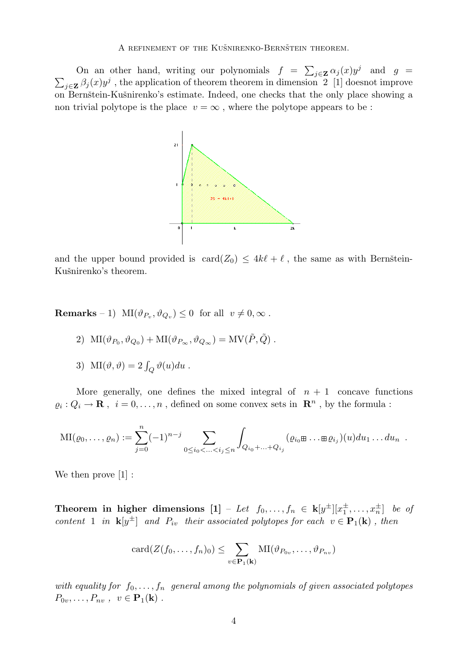On an other hand, writing our polynomials  $f = \sum_{j \in \mathbf{Z}} \alpha_j(x) y^j$  and  $g =$  $\sum_{j\in\mathbf{Z}} \beta_j(x) y^j$ , the application of theorem theorem in dimension 2 [1] doesnot improve on Bernštein-Kušnirenko's estimate. Indeed, one checks that the only place showing a non trivial polytope is the place  $v = \infty$ , where the polytope appears to be:



and the upper bound provided is  $\text{card}(Z_0) \leq 4k\ell + \ell$ , the same as with Bernstein-Kušnirenko's theorem.

**Remarks** – 1)  $\text{MI}(\vartheta_{P_v}, \vartheta_{Q_v}) \leq 0$  for all  $v \neq 0, \infty$ .

$$
2) \ \ \mathrm{MI}(\vartheta_{P_0},\vartheta_{Q_0})+\mathrm{MI}(\vartheta_{P_{\infty}},\vartheta_{Q_{\infty}})=\mathrm{MV}(\tilde{P},\tilde{Q})\ .
$$

3) 
$$
MI(\vartheta, \vartheta) = 2 \int_Q \vartheta(u) du
$$
.

More generally, one defines the mixed integral of  $n + 1$  concave functions  $\varrho_i: Q_i \to \mathbf{R}$  ,  $~i=0,\ldots,n$  , defined on some convex sets in  $~\mathbf{R}^n$  , by the formula :

$$
\mathrm{MI}(\varrho_0, \ldots, \varrho_n) := \sum_{j=0}^n (-1)^{n-j} \sum_{0 \le i_0 < \ldots < i_j \le n} \int_{Q_{i_0} + \ldots + Q_{i_j}} (\varrho_{i_0} \oplus \ldots \oplus \varrho_{i_j})(u) du_1 \ldots du_n.
$$

We then prove  $[1]$ :

Theorem in higher dimensions  $\begin{bmatrix} 1 \end{bmatrix} - \textit{Let } f_0, \ldots, f_n \in \, \mathbf{k}[y^{\pm}] [x_1^{\pm}]$  $[\frac{\pm}{1}, \ldots, x_n^{\pm}]$  be of content 1 in  $\mathbf{k}[y^{\pm}]$  and  $P_{iv}$  their associated polytopes for each  $v \in \mathbf{P}_1(\mathbf{k})$ , then

$$
card(Z(f_0,\ldots,f_n)_0) \leq \sum_{v \in \mathbf{P}_1(\mathbf{k})} MI(\vartheta_{P_{0v}},\ldots,\vartheta_{P_{nv}})
$$

with equality for  $f_0, \ldots, f_n$  general among the polynomials of given associated polytopes  $P_{0v},\ldots,P_{nv}$ ,  $v \in \mathbf{P}_1(\mathbf{k})$ .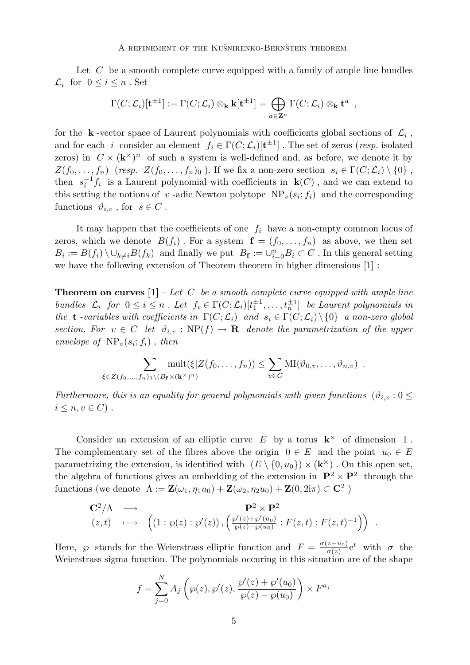Let  $C$  be a smooth complete curve equipped with a family of ample line bundles  $\mathcal{L}_i$  for  $0 \leq i \leq n$ . Set

$$
\Gamma(C; \mathcal{L}_i)[\mathbf{t}^{\pm 1}] := \Gamma(C; \mathcal{L}_i) \otimes_{\mathbf{k}} \mathbf{k}[\mathbf{t}^{\pm 1}] = \bigoplus_{a \in \mathbf{Z}^n} \Gamma(C; \mathcal{L}_i) \otimes_{\mathbf{k}} \mathbf{t}^a ,
$$

for the  $k$ -vector space of Laurent polynomials with coefficients global sections of  $\mathcal{L}_i$ , and for each *i* consider an element  $f_i \in \Gamma(C; \mathcal{L}_i)[\mathbf{t}^{\pm 1}]$ . The set of zeros (*resp.* isolated zeros) in  $C \times (\mathbf{k}^{\times})^n$  of such a system is well-defined and, as before, we denote it by  $Z(f_0,\ldots,f_n)$  (resp.  $Z(f_0,\ldots,f_n)_0$ ). If we fix a non-zero section  $s_i \in \Gamma(C; \mathcal{L}_i) \setminus \{0\}$ , then  $s_i^{-1}$  $i<sup>-1</sup>f<sub>i</sub>$  is a Laurent polynomial with coefficients in  $\mathbf{k}(C)$ , and we can extend to this setting the notions of v-adic Newton polytope  $NP_v(s_i; f_i)$  and the corresponding functions  $\vartheta_{i,v}$ , for  $s \in C$ .

It may happen that the coefficients of one  $f_i$  have a non-empty common locus of zeros, which we denote  $B(f_i)$ . For a system  $f = (f_0, \ldots, f_n)$  as above, we then set  $B_i := B(f_i) \setminus \cup_{k \neq i} B(f_k)$  and finally we put  $B_f := \cup_{i=0}^n B_i \subset C$ . In this general setting we have the following extension of Theorem theorem in higher dimensions [1] :

**Theorem on curves**  $[1]$  – Let C be a smooth complete curve equipped with ample line bundles  $\mathcal{L}_i$  for  $0 \leq i \leq n$ . Let  $f_i \in \Gamma(C; \mathcal{L}_i)[t_1^{\pm 1}]$  $\{\pm 1, \ldots, t_n^{\pm 1}\}$  be Laurent polynomials in the **t** -variables with coefficients in  $\Gamma(C; \mathcal{L}_i)$  and  $s_i \in \Gamma(C; \mathcal{L}_i) \setminus \{0\}$  a non-zero global section. For  $v \in C$  let  $\vartheta_{i,v} : \text{NP}(f) \to \mathbf{R}$  denote the parametrization of the upper envelope of  $\text{NP}_v(s_i; f_i)$ , then

$$
\sum_{\xi \in Z(f_0,\ldots,f_n)_0 \setminus (B_{\mathbf{f}} \times (\mathbf{k}^{\times})^n)} \text{mult}(\xi | Z(f_0,\ldots,f_n)) \leq \sum_{v \in C} \text{MI}(\vartheta_{0,v},\ldots,\vartheta_{n,v}) \enspace .
$$

Furthermore, this is an equality for general polynomials with given functions  $(\vartheta_{i,v}:0\leq$  $i \leq n, v \in C$ .

Consider an extension of an elliptic curve  $E$  by a torus  $\mathbf{k}^{\times}$  of dimension 1. The complementary set of the fibres above the origin  $0 \in E$  and the point  $u_0 \in E$ parametrizing the extension, is identified with  $(E \setminus \{0, u_0\}) \times (\mathbf{k}^{\times})$ . On this open set, the algebra of functions gives an embedding of the extension in  $\mathbf{P}^2 \times \mathbf{P}^2$  through the functions (we denote  $\Lambda := \mathbf{Z}(\omega_1, \eta_1 u_0) + \mathbf{Z}(\omega_2, \eta_2 u_0) + \mathbf{Z}(0, 2\mathrm{i}\pi) \subset \mathbb{C}^2$ )

$$
\mathbf{C}^2/\Lambda \longrightarrow \mathbf{P}^2 \times \mathbf{P}^2
$$
  
(z,t) 
$$
\longmapsto \left( (1:\wp(z):\wp'(z)), \left( \frac{\wp'(z)+\wp'(u_0)}{\wp(z)-\wp(u_0)} : F(z,t) : F(z,t)^{-1} \right) \right) .
$$

Here,  $\wp$  stands for the Weierstrass elliptic function and  $F = \frac{\sigma(z - u_0)}{\sigma(z)}$  $\frac{(z-u_0)}{\sigma(z)}e^t$  with  $\sigma$  the Weierstrass sigma function. The polynomials occuring in this situation are of the shape

$$
f = \sum_{j=0}^{N} A_j \left( \wp(z), \wp'(z), \frac{\wp'(z) + \wp'(u_0)}{\wp(z) - \wp(u_0)} \right) \times F^{a_j}
$$